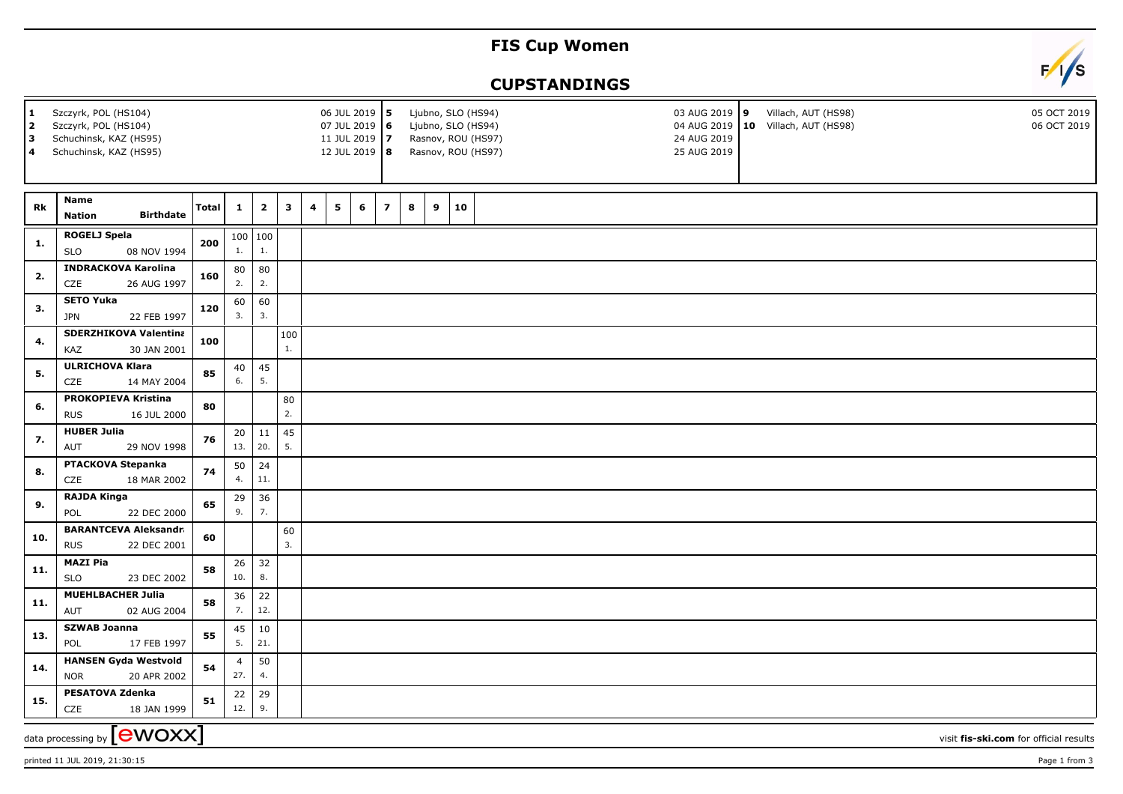## **FIS Cup Women**

## **CUPSTANDINGS**



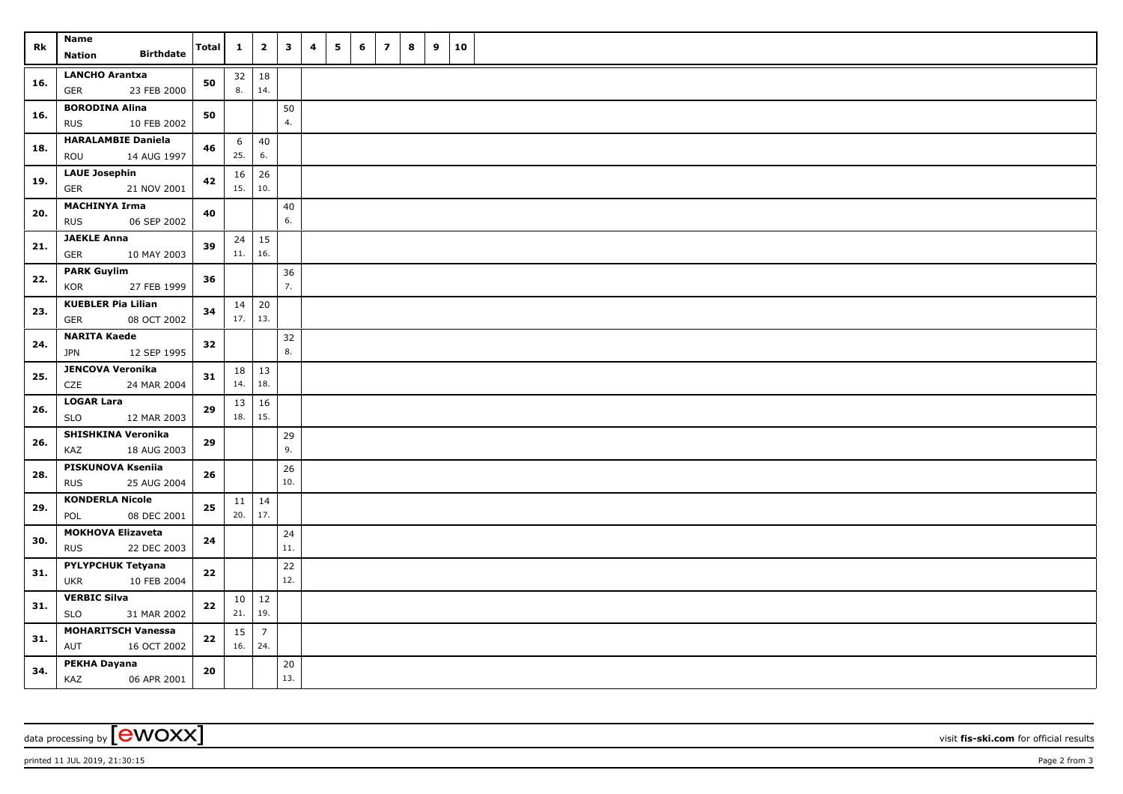| Rk  | Name<br><b>Birthdate</b><br><b>Nation</b>              | <b>Total</b> | $\mathbf{1}$              | $\overline{\mathbf{2}}$ | $\mathbf{3}$ | 4 | 5 | 6 | $\overline{\phantom{a}}$ | 8 | 9 | 10 |  |
|-----|--------------------------------------------------------|--------------|---------------------------|-------------------------|--------------|---|---|---|--------------------------|---|---|----|--|
| 16. | <b>LANCHO Arantxa</b><br>23 FEB 2000<br><b>GER</b>     | 50           | $32 \mid 18$<br>8.        | 14.                     |              |   |   |   |                          |   |   |    |  |
| 16. | <b>BORODINA Alina</b><br>10 FEB 2002<br><b>RUS</b>     | 50           |                           |                         | 50<br>4.     |   |   |   |                          |   |   |    |  |
| 18. | <b>HARALAMBIE Daniela</b><br>ROU<br>14 AUG 1997        | 46           | 6<br>25.                  | 40<br>6.                |              |   |   |   |                          |   |   |    |  |
| 19. | <b>LAUE Josephin</b><br><b>GER</b><br>21 NOV 2001      | 42           | 16<br>15.                 | 26<br>10.               |              |   |   |   |                          |   |   |    |  |
| 20. | <b>MACHINYA Irma</b><br>06 SEP 2002<br><b>RUS</b>      | 40           |                           |                         | 40<br>6.     |   |   |   |                          |   |   |    |  |
| 21. | <b>JAEKLE Anna</b><br><b>GER</b><br>10 MAY 2003        | 39           | $24 \mid 15$<br>11.       | 16.                     |              |   |   |   |                          |   |   |    |  |
| 22. | <b>PARK Guylim</b><br>27 FEB 1999<br>KOR               | 36           |                           |                         | 36<br>7.     |   |   |   |                          |   |   |    |  |
| 23. | <b>KUEBLER Pia Lilian</b><br><b>GER</b><br>08 OCT 2002 | 34           | $14 \mid 20$<br>$17.$ 13. |                         |              |   |   |   |                          |   |   |    |  |
| 24. | <b>NARITA Kaede</b><br>12 SEP 1995<br><b>JPN</b>       | 32           |                           |                         | 32<br>8.     |   |   |   |                          |   |   |    |  |
| 25. | <b>JENCOVA Veronika</b><br>CZE<br>24 MAR 2004          | 31           | 18<br>14.                 | $\vert$ 13<br>18.       |              |   |   |   |                          |   |   |    |  |
| 26. | <b>LOGAR Lara</b><br><b>SLO</b><br>12 MAR 2003         | 29           | 13 <br>18.                | 16<br>15.               |              |   |   |   |                          |   |   |    |  |
| 26. | SHISHKINA Veronika<br>18 AUG 2003<br>KAZ               | 29           |                           |                         | 29<br>9.     |   |   |   |                          |   |   |    |  |
| 28. | PISKUNOVA Kseniia<br>25 AUG 2004<br><b>RUS</b>         | 26           |                           |                         | 26<br>10.    |   |   |   |                          |   |   |    |  |
| 29. | <b>KONDERLA Nicole</b><br>08 DEC 2001<br>POL           | 25           | $11 \mid 14$<br>20.       | 17.                     |              |   |   |   |                          |   |   |    |  |
| 30. | <b>MOKHOVA Elizaveta</b><br><b>RUS</b><br>22 DEC 2003  | 24           |                           |                         | 24<br>11.    |   |   |   |                          |   |   |    |  |
| 31. | <b>PYLYPCHUK Tetyana</b><br><b>UKR</b><br>10 FEB 2004  | 22           |                           |                         | 22<br>12.    |   |   |   |                          |   |   |    |  |
| 31. | <b>VERBIC Silva</b><br><b>SLO</b><br>31 MAR 2002       | 22           | 10 <sup>1</sup><br>21.    | 12<br>19.               |              |   |   |   |                          |   |   |    |  |
| 31. | <b>MOHARITSCH Vanessa</b><br>AUT<br>16 OCT 2002        | 22           | 15<br>16.   24.           | $\overline{7}$          |              |   |   |   |                          |   |   |    |  |
| 34. | <b>PEKHA Dayana</b><br>KAZ<br>06 APR 2001              | 20           |                           |                         | 20<br>13.    |   |   |   |                          |   |   |    |  |

data processing by **CWOXX** visit **fis-ski.com** for official results